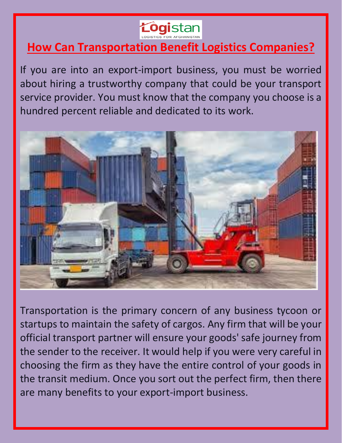

# **How Can Transportation Benefit Logistics Companies?**

If you are into an export-import business, you must be worried about hiring a trustworthy company that could be your transport service provider. You must know that the company you choose is a hundred percent reliable and dedicated to its work.



Transportation is the primary concern of any business tycoon or startups to maintain the safety of cargos. Any firm that will be your official transport partner will ensure your goods' safe journey from the sender to the receiver. It would help if you were very careful in choosing the firm as they have the entire control of your goods in the transit medium. Once you sort out the perfect firm, then there are many benefits to your export-import business.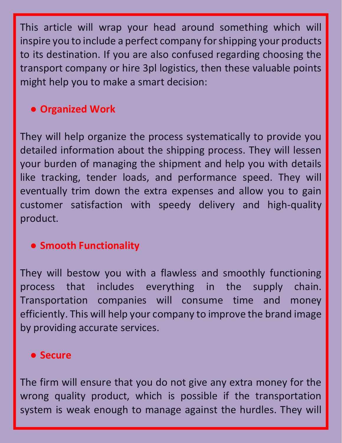This article will wrap your head around something which will inspire you to include a perfect company for shipping your products to its destination. If you are also confused regarding choosing the transport company or hire 3pl logistics, then these valuable points might help you to make a smart decision:

## ● **Organized Work**

They will help organize the process systematically to provide you detailed information about the shipping process. They will lessen your burden of managing the shipment and help you with details like tracking, tender loads, and performance speed. They will eventually trim down the extra expenses and allow you to gain customer satisfaction with speedy delivery and high-quality product.

#### ● **Smooth Functionality**

They will bestow you with a flawless and smoothly functioning process that includes everything in the supply chain. Transportation companies will consume time and money efficiently. This will help your company to improve the brand image by providing accurate services.

#### ● **Secure**

The firm will ensure that you do not give any extra money for the wrong quality product, which is possible if the transportation system is weak enough to manage against the hurdles. They will